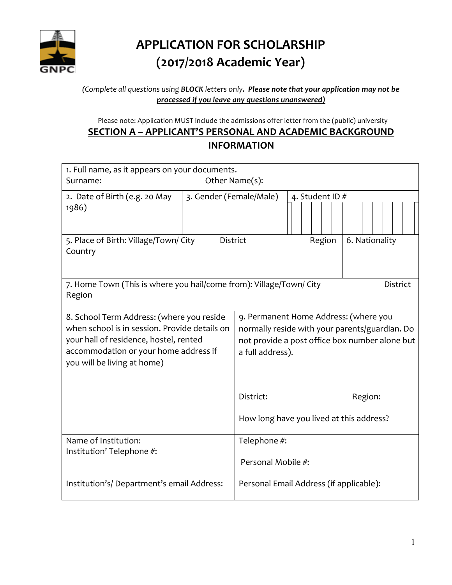

# **APPLICATION FOR SCHOLARSHIP (2017/2018 Academic Year)**

#### *(Complete all questions using BLOCK letters only. Please note that your application may not be processed if you leave any questions unanswered)*

Please note: Application MUST include the admissions offer letter from the (public) university

## **SECTION A – APPLICANT'S PERSONAL AND ACADEMIC BACKGROUND INFORMATION**

| 1. Full name, as it appears on your documents.                                         |                         |                                                |  |  |        |  |                |  |  |  |
|----------------------------------------------------------------------------------------|-------------------------|------------------------------------------------|--|--|--------|--|----------------|--|--|--|
| Other Name(s):<br>Surname:                                                             |                         |                                                |  |  |        |  |                |  |  |  |
| 2. Date of Birth (e.g. 20 May                                                          | 3. Gender (Female/Male) | 4. Student ID#                                 |  |  |        |  |                |  |  |  |
| 1986)                                                                                  |                         |                                                |  |  |        |  |                |  |  |  |
|                                                                                        |                         |                                                |  |  |        |  |                |  |  |  |
| 5. Place of Birth: Village/Town/ City<br><b>District</b>                               |                         |                                                |  |  | Region |  | 6. Nationality |  |  |  |
| Country                                                                                |                         |                                                |  |  |        |  |                |  |  |  |
|                                                                                        |                         |                                                |  |  |        |  |                |  |  |  |
| 7. Home Town (This is where you hail/come from): Village/Town/ City<br><b>District</b> |                         |                                                |  |  |        |  |                |  |  |  |
| Region                                                                                 |                         |                                                |  |  |        |  |                |  |  |  |
| 9. Permanent Home Address: (where you<br>8. School Term Address: (where you reside     |                         |                                                |  |  |        |  |                |  |  |  |
| when school is in session. Provide details on                                          |                         | normally reside with your parents/guardian. Do |  |  |        |  |                |  |  |  |
| your hall of residence, hostel, rented                                                 |                         | not provide a post office box number alone but |  |  |        |  |                |  |  |  |
| accommodation or your home address if<br>you will be living at home)                   |                         | a full address).                               |  |  |        |  |                |  |  |  |
|                                                                                        |                         |                                                |  |  |        |  |                |  |  |  |
|                                                                                        |                         |                                                |  |  |        |  |                |  |  |  |
|                                                                                        |                         | District:                                      |  |  |        |  | Region:        |  |  |  |
|                                                                                        |                         | How long have you lived at this address?       |  |  |        |  |                |  |  |  |
|                                                                                        |                         |                                                |  |  |        |  |                |  |  |  |
| Name of Institution:                                                                   |                         | Telephone #:                                   |  |  |        |  |                |  |  |  |
| Institution' Telephone #:                                                              |                         | Personal Mobile #:                             |  |  |        |  |                |  |  |  |
|                                                                                        |                         |                                                |  |  |        |  |                |  |  |  |
| Institution's/Department's email Address:                                              |                         | Personal Email Address (if applicable):        |  |  |        |  |                |  |  |  |
|                                                                                        |                         |                                                |  |  |        |  |                |  |  |  |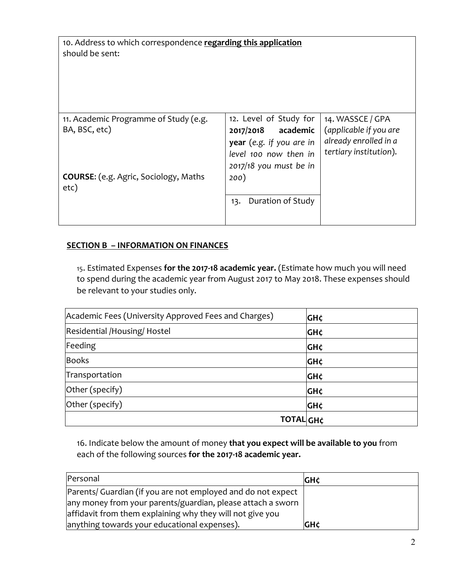10. Address to which correspondence **regarding this application** should be sent:

| 11. Academic Programme of Study (e.g.        | 12. Level of Study for   | 14. WASSCE / GPA       |
|----------------------------------------------|--------------------------|------------------------|
| BA, BSC, etc)                                | academic<br>2017/2018    | (applicable if you are |
|                                              | year (e.g. if you are in | already enrolled in a  |
|                                              | level 100 now then in    | tertiary institution). |
|                                              | 2017/18 you must be in   |                        |
| <b>COURSE:</b> (e.g. Agric, Sociology, Maths | 200)                     |                        |
| etc)                                         |                          |                        |
|                                              | Duration of Study<br>13. |                        |
|                                              |                          |                        |
|                                              |                          |                        |

#### **SECTION B – INFORMATION ON FINANCES**

15. Estimated Expenses for the 2017-18 academic year. (Estimate how much you will need to spend during the academic year from August 2017 to May 2018. These expenses should be relevant to your studies only.

| Academic Fees (University Approved Fees and Charges) | <b>GH¢</b> |
|------------------------------------------------------|------------|
| Residential /Housing/ Hostel                         | <b>GH¢</b> |
| Feeding                                              | <b>GH¢</b> |
| <b>Books</b>                                         | <b>GH¢</b> |
| Transportation                                       | <b>GH¢</b> |
| Other (specify)                                      | <b>GH¢</b> |
| Other (specify)                                      | <b>GH¢</b> |
| <b>TOTAL GH¢</b>                                     |            |

16. Indicate below the amount of money that you expect will be available to you from each of the following sources for the 2017-18 academic year.

| Personal                                                     | <b>GH¢</b> |
|--------------------------------------------------------------|------------|
| Parents/ Guardian (if you are not employed and do not expect |            |
| any money from your parents/guardian, please attach a sworn  |            |
| affidavit from them explaining why they will not give you    |            |
| anything towards your educational expenses).                 | <b>GH¢</b> |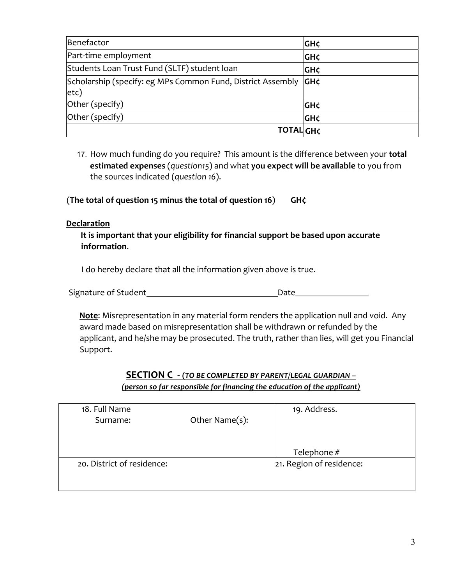| Benefactor                                                  | GH¢        |
|-------------------------------------------------------------|------------|
| Part-time employment                                        | GH¢        |
| Students Loan Trust Fund (SLTF) student loan                | GH¢        |
| Scholarship (specify: eg MPs Common Fund, District Assembly | GH¢        |
| etc)                                                        |            |
| Other (specify)                                             | ιGΗ¢       |
| Other (specify)                                             | <b>GH¢</b> |
| <b>TOTAL GH¢</b>                                            |            |

17. How much funding do you require? This amount is the difference between your **total estimated expenses** (question15) and what you expect will be available to you from the sources indicated (*question* 16).

(The total of question 15 minus the total of question 16) GH $\zeta$ 

#### **Declaration**

It is important that your eligibility for financial support be based upon accurate **information**. 

I do hereby declare that all the information given above is true.

| Signature of Student |  |
|----------------------|--|
|                      |  |

**Note:** Misrepresentation in any material form renders the application null and void. Any award made based on misrepresentation shall be withdrawn or refunded by the applicant, and he/she may be prosecuted. The truth, rather than lies, will get you Financial Support. 

### **SECTION C - (***TO BE COMPLETED BY PARENT/LEGAL GUARDIAN –*

*(person so far responsible for financing the education of the applicant)* 

| 18. Full Name              |                          | 19. Address. |  |
|----------------------------|--------------------------|--------------|--|
| Surname:                   | Other Name(s):           |              |  |
|                            |                          |              |  |
|                            |                          |              |  |
|                            |                          | Telephone #  |  |
| 20. District of residence: | 21. Region of residence: |              |  |
|                            |                          |              |  |
|                            |                          |              |  |